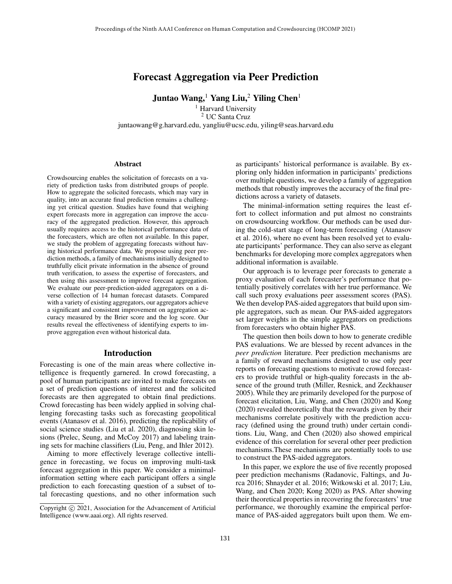# Forecast Aggregation via Peer Prediction

Juntao Wang,<sup>1</sup> Yang Liu,<sup>2</sup> Yiling Chen<sup>1</sup>

<sup>1</sup> Harvard University <sup>2</sup> UC Santa Cruz juntaowang@g.harvard.edu, yangliu@ucsc.edu, yiling@seas.harvard.edu

#### **Abstract**

Crowdsourcing enables the solicitation of forecasts on a variety of prediction tasks from distributed groups of people. How to aggregate the solicited forecasts, which may vary in quality, into an accurate final prediction remains a challenging yet critical question. Studies have found that weighing expert forecasts more in aggregation can improve the accuracy of the aggregated prediction. However, this approach usually requires access to the historical performance data of the forecasters, which are often not available. In this paper, we study the problem of aggregating forecasts without having historical performance data. We propose using peer prediction methods, a family of mechanisms initially designed to truthfully elicit private information in the absence of ground truth verification, to assess the expertise of forecasters, and then using this assessment to improve forecast aggregation. We evaluate our peer-prediction-aided aggregators on a diverse collection of 14 human forecast datasets. Compared with a variety of existing aggregators, our aggregators achieve a significant and consistent improvement on aggregation accuracy measured by the Brier score and the log score. Our results reveal the effectiveness of identifying experts to improve aggregation even without historical data.

## Introduction

Forecasting is one of the main areas where collective intelligence is frequently garnered. In crowd forecasting, a pool of human participants are invited to make forecasts on a set of prediction questions of interest and the solicited forecasts are then aggregated to obtain final predictions. Crowd forecasting has been widely applied in solving challenging forecasting tasks such as forecasting geopolitical events (Atanasov et al. 2016), predicting the replicability of social science studies (Liu et al. 2020), diagnosing skin lesions (Prelec, Seung, and McCoy 2017) and labeling training sets for machine classifiers (Liu, Peng, and Ihler 2012).

Aiming to more effectively leverage collective intelligence in forecasting, we focus on improving multi-task forecast aggregation in this paper. We consider a minimalinformation setting where each participant offers a single prediction to each forecasting question of a subset of total forecasting questions, and no other information such

as participants' historical performance is available. By exploring only hidden information in participants' predictions over multiple questions, we develop a family of aggregation methods that robustly improves the accuracy of the final predictions across a variety of datasets.

The minimal-information setting requires the least effort to collect information and put almost no constraints on crowdsourcing workflow. Our methods can be used during the cold-start stage of long-term forecasting (Atanasov et al. 2016), where no event has been resolved yet to evaluate participants' performance. They can also serve as elegant benchmarks for developing more complex aggregators when additional information is available.

Our approach is to leverage peer forecasts to generate a proxy evaluation of each forecaster's performance that potentially positively correlates with her true performance. We call such proxy evaluations peer assessment scores (PAS). We then develop PAS-aided aggregators that build upon simple aggregators, such as mean. Our PAS-aided aggregators set larger weights in the simple aggregators on predictions from forecasters who obtain higher PAS.

The question then boils down to how to generate credible PAS evaluations. We are blessed by recent advances in the *peer prediction* literature. Peer prediction mechanisms are a family of reward mechanisms designed to use only peer reports on forecasting questions to motivate crowd forecasters to provide truthful or high-quality forecasts in the absence of the ground truth (Miller, Resnick, and Zeckhauser 2005). While they are primarily developed for the purpose of forecast elicitation, Liu, Wang, and Chen (2020) and Kong (2020) revealed theoretically that the rewards given by their mechanisms correlate positively with the prediction accuracy (defined using the ground truth) under certain conditions. Liu, Wang, and Chen (2020) also showed empirical evidence of this correlation for several other peer prediction mechanisms.These mechanisms are potentially tools to use to construct the PAS-aided aggregators.

In this paper, we explore the use of five recently proposed peer prediction mechanisms (Radanovic, Faltings, and Jurca 2016; Shnayder et al. 2016; Witkowski et al. 2017; Liu, Wang, and Chen 2020; Kong 2020) as PAS. After showing their theoretical properties in recovering the forecasters' true performance, we thoroughly examine the empirical performance of PAS-aided aggregators built upon them. We em-

Copyright (c) 2021, Association for the Advancement of Artificial Intelligence (www.aaai.org). All rights reserved.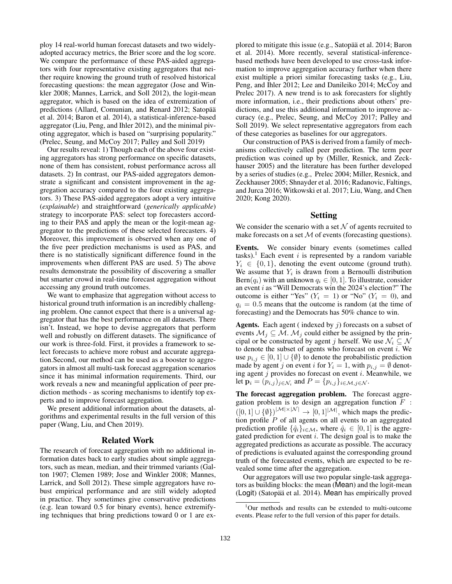ploy 14 real-world human forecast datasets and two widelyadopted accuracy metrics, the Brier score and the log score. We compare the performance of these PAS-aided aggregators with four representative existing aggregators that neither require knowing the ground truth of resolved historical forecasting questions: the mean aggregator (Jose and Winkler 2008; Mannes, Larrick, and Soll 2012), the logit-mean aggregator, which is based on the idea of extremization of predictions (Allard, Comunian, and Renard 2012; Satopää et al. 2014; Baron et al. 2014), a statistical-inference-based aggregator (Liu, Peng, and Ihler 2012), and the minimal pivoting aggregator, which is based on "surprising popularity." (Prelec, Seung, and McCoy 2017; Palley and Soll 2019)

Our results reveal: 1) Though each of the above four existing aggregators has strong performance on specific datasets, none of them has consistent, robust performance across all datasets. 2) In contrast, our PAS-aided aggregators demonstrate a significant and consistent improvement in the aggregation accuracy compared to the four existing aggregators. 3) These PAS-aided aggregators adopt a very intuitive (*explainable*) and straightforward (*generically applicable*) strategy to incorporate PAS: select top forecasters according to their PAS and apply the mean or the logit-mean aggregator to the predictions of these selected forecasters. 4) Moreover, this improvement is observed when any one of the five peer prediction mechanisms is used as PAS, and there is no statistically significant difference found in the improvements when different PAS are used. 5) The above results demonstrate the possibility of discovering a smaller but smarter crowd in real-time forecast aggregation without accessing any ground truth outcomes.

We want to emphasize that aggregation without access to historical ground truth information is an incredibly challenging problem. One cannot expect that there is a universal aggregator that has the best performance on all datasets. There isn't. Instead, we hope to devise aggregators that perform well and robustly on different datasets. The significance of our work is three-fold. First, it provides a framework to select forecasts to achieve more robust and accurate aggregation.Second, our method can be used as a booster to aggregators in almost all multi-task forecast aggregation scenarios since it has minimal information requirements. Third, our work reveals a new and meaningful application of peer prediction methods - as scoring mechanisms to identify top experts and to improve forecast aggregation.

We present additional information about the datasets, algorithms and experimental results in the full version of this paper (Wang, Liu, and Chen 2019).

# Related Work

The research of forecast aggregation with no additional information dates back to early studies about simple aggregators, such as mean, median, and their trimmed variants (Galton 1907; Clemen 1989; Jose and Winkler 2008; Mannes, Larrick, and Soll 2012). These simple aggregators have robust empirical performance and are still widely adopted in practice. They sometimes give conservative predictions (e.g. lean toward 0.5 for binary events), hence extremifying techniques that bring predictions toward 0 or 1 are explored to mitigate this issue (e.g., Satopää et al. 2014; Baron et al. 2014). More recently, several statistical-inferencebased methods have been developed to use cross-task information to improve aggregation accuracy further when there exist multiple a priori similar forecasting tasks (e.g., Liu, Peng, and Ihler 2012; Lee and Danileiko 2014; McCoy and Prelec 2017). A new trend is to ask forecasters for slightly more information, i.e., their predictions about others' predictions, and use this additional information to improve accuracy (e.g., Prelec, Seung, and McCoy 2017; Palley and Soll 2019). We select representative aggregators from each of these categories as baselines for our aggregators.

Our construction of PAS is derived from a family of mechanisms collectively called peer prediction. The term peer prediction was coined up by (Miller, Resnick, and Zeckhauser 2005) and the literature has been further developed by a series of studies (e.g., Prelec 2004; Miller, Resnick, and Zeckhauser 2005; Shnayder et al. 2016; Radanovic, Faltings, and Jurca 2016; Witkowski et al. 2017; Liu, Wang, and Chen 2020; Kong 2020).

### Setting

We consider the scenario with a set  $N$  of agents recruited to make forecasts on a set  $M$  of events (forecasting questions).

Events. We consider binary events (sometimes called tasks).<sup>1</sup> Each event  $i$  is represented by a random variable  $Y_i \in \{0, 1\}$ , denoting the event outcome (ground truth). We assume that  $Y_i$  is drawn from a Bernoulli distribution Bern $(q_i)$  with an unknown  $q_i \in [0, 1]$ . To illustrate, consider an event i as "Will Democrats win the 2024's election?" The outcome is either "Yes"  $(Y_i = 1)$  or "No"  $(Y_i = 0)$ , and  $q_i = 0.5$  means that the outcome is random (at the time of forecasting) and the Democrats has 50% chance to win.

**Agents.** Each agent (indexed by  $j$ ) forecasts on a subset of events  $M_i \subseteq M$ .  $M_j$  could either be assigned by the principal or be constructed by agent j herself. We use  $\mathcal{N}_i \subseteq \mathcal{N}$ to denote the subset of agents who forecast on event  $i$ . We use  $p_{i,j} \in [0,1] \cup \{\emptyset\}$  to denote the probabilistic prediction made by agent j on event i for  $Y_i = 1$ , with  $p_{i,j} = \emptyset$  denoting agent  $j$  provides no forecast on event  $i$ . Meanwhile, we let  $\mathbf{p}_i = (p_{i,j})_{j \in \mathcal{N}_i}$  and  $P = \{p_{i,j}\}_{i \in \mathcal{M}, j \in \mathcal{N}}$ .

The forecast aggregation problem. The forecast aggregation problem is to design an aggregation function  $\overline{F}$  :  $([0,1] \cup \{\emptyset\})^{|M| \times |N|} \rightarrow [0,1]^{|M|}$ , which maps the prediction profile  $P$  of all agents on all events to an aggregated prediction profile  $\{\hat{q}_i\}_{i \in \mathcal{M}}$ , where  $\hat{q}_i \in [0, 1]$  is the aggregated prediction for event  $i$ . The design goal is to make the aggregated predictions as accurate as possible. The accuracy of predictions is evaluated against the corresponding ground truth of the forecasted events, which are expected to be revealed some time after the aggregation.

Our aggregators will use two popular single-task aggregators as building blocks: the mean (Mean) and the logit-mean (Logit) (Satopää et al. 2014). Mean has empirically proved

<sup>1</sup>Our methods and results can be extended to multi-outcome events. Please refer to the full version of this paper for details.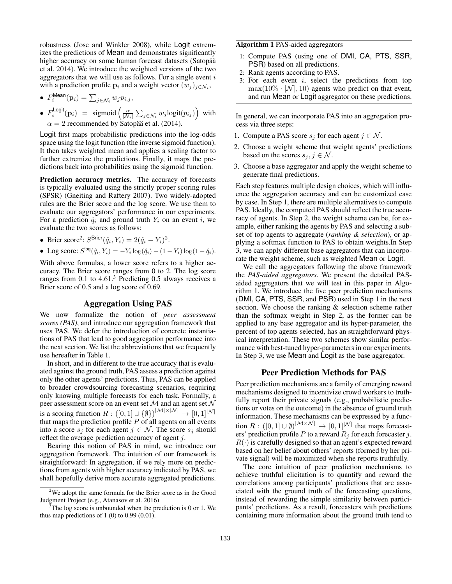robustness (Jose and Winkler 2008), while Logit extremizes the predictions of Mean and demonstrates significantly higher accuracy on some human forecast datasets (Satopää et al. 2014). We introduce the weighted versions of the two aggregators that we will use as follows. For a single event  $i$ with a prediction profile  $\mathbf{p}_i$  and a weight vector  $(w_j)_{j \in \mathcal{N}_i}$ ,

• 
$$
F_i^{\text{Mean}}(\mathbf{p}_i) = \sum_{j \in \mathcal{N}_i} w_j p_{i,j},
$$

•  $F_i^{\text{Logit}}(\mathbf{p}_i) = \text{sigmoid}\left(\frac{\alpha}{|\mathcal{N}_i|} \sum_{j \in \mathcal{N}_i} w_j \text{logit}(p_{ij})\right)$  with  $\alpha = 2$  recommended by Satopää et al. (2014).

Logit first maps probabilistic predictions into the log-odds space using the logit function (the inverse sigmoid function). It then takes weighted mean and applies a scaling factor to further extremize the predictions. Finally, it maps the predictions back into probabilities using the sigmoid function.

Prediction accuracy metrics. The accuracy of forecasts is typically evaluated using the strictly proper scoring rules (SPSR) (Gneiting and Raftery 2007). Two widely-adopted rules are the Brier score and the log score. We use them to evaluate our aggregators' performance in our experiments. For a prediction  $\hat{q}_i$  and ground truth  $Y_i$  on an event i, we evaluate the two scores as follows:

- Brier score<sup>2</sup>:  $S^{\text{Brier}}(\hat{q}_i, Y_i) = 2(\hat{q}_i Y_i)^2$ .
- Log score:  $S^{\log}(\hat{q}_i, Y_i) = -Y_i \log(\hat{q}_i) (1 Y_i) \log(1 \hat{q}_i).$

With above formulas, a lower score refers to a higher accuracy. The Brier score ranges from 0 to 2. The log score ranges from 0.1 to 4.61.<sup>3</sup> Predicting 0.5 always receives a Brier score of 0.5 and a log score of 0.69.

# Aggregation Using PAS

We now formalize the notion of *peer assessment scores (PAS)*, and introduce our aggregation framework that uses PAS. We defer the introduction of concrete instantiations of PAS that lead to good aggregation performance into the next section. We list the abbreviations that we frequently use hereafter in Table 1.

In short, and in different to the true accuracy that is evaluated against the ground truth, PAS assess a prediction against only the other agents' predictions. Thus, PAS can be applied to broader crowdsourcing forecasting scenarios, requiring only knowing multiple forecasts for each task. Formally, a peer assessment score on an event set  ${\cal M}$  and an agent set  ${\cal N}$ is a scoring function  $R: ([0,1] \cup \{\emptyset\})^{|\mathcal{M}| \times |\mathcal{N}|} \to [0,1]^{|\mathcal{N}|}$ that maps the prediction profile  $P$  of all agents on all events into a score  $s_j$  for each agent  $j \in \mathcal{N}$ . The score  $s_j$  should reflect the average prediction accuracy of agent j.

Bearing this notion of PAS in mind, we introduce our aggregation framework. The intuition of our framework is straightforward: In aggregation, if we rely more on predictions from agents with higher accuracy indicated by PAS, we shall hopefully derive more accurate aggregated predictions.

## Algorithm 1 PAS-aided aggregators

- 1: Compute PAS (using one of DMI, CA, PTS, SSR, PSR) based on all predictions.
- 2: Rank agents according to PAS.
- 3: For each event  $i$ , select the predictions from top  $\max(10\% \cdot |\mathcal{N}|, 10)$  agents who predict on that event, and run Mean or Logit aggregator on these predictions.

In general, we can incorporate PAS into an aggregation process via three steps:

- 1. Compute a PAS score  $s_j$  for each agent  $j \in \mathcal{N}$ .
- 2. Choose a weight scheme that weight agents' predictions based on the scores  $s_j, j \in \mathcal{N}$ .
- 3. Choose a base aggregator and apply the weight scheme to generate final predictions.

Each step features multiple design choices, which will influence the aggregation accuracy and can be customized case by case. In Step 1, there are multiple alternatives to compute PAS. Ideally, the computed PAS should reflect the true accuracy of agents. In Step 2, the weight scheme can be, for example, either ranking the agents by PAS and selecting a subset of top agents to aggregate (*ranking & selection*), or applying a softmax function to PAS to obtain weights.In Step 3, we can apply different base aggregators that can incorporate the weight scheme, such as weighted Mean or Logit.

We call the aggregators following the above framework the *PAS-aided aggregators*. We present the detailed PASaided aggregators that we will test in this paper in Algorithm 1. We introduce the five peer prediction mechanisms (DMI, CA, PTS, SSR, and PSR) used in Step 1 in the next section. We choose the ranking & selection scheme rather than the softmax weight in Step 2, as the former can be applied to any base aggregator and its hyper-parameter, the percent of top agents selected, has an straightforward physical interpretation. These two schemes show similar performance with best-tuned hyper-parameters in our experiments. In Step 3, we use Mean and Logit as the base aggregator.

# Peer Prediction Methods for PAS

Peer prediction mechanisms are a family of emerging reward mechanisms designed to incentivize crowd workers to truthfully report their private signals (e.g., probabilistic predictions or votes on the outcome) in the absence of ground truth information. These mechanisms can be expressed by a function  $R: ([0,1] \cup \emptyset)^{|\mathcal{M} \times \mathcal{N}|} \rightarrow [0,1]^{|\mathcal{N}|}$  that maps forecasters' prediction profile P to a reward  $R_i$  for each forecaster j.  $R(\cdot)$  is carefully designed so that an agent's expected reward based on her belief about others' reports (formed by her private signal) will be maximized when she reports truthfully.

The core intuition of peer prediction mechanisms to achieve truthful elicitation is to quantify and reward the correlations among participants' predictions that are associated with the ground truth of the forecasting questions, instead of rewarding the simple similarity between participants' predictions. As a result, forecasters with predictions containing more information about the ground truth tend to

<sup>&</sup>lt;sup>2</sup>We adopt the same formula for the Brier score as in the Good Judgment Project (e.g., Atanasov et al. 2016)

 $3$ The log score is unbounded when the prediction is 0 or 1. We thus map predictions of  $1(0)$  to  $0.99(0.01)$ .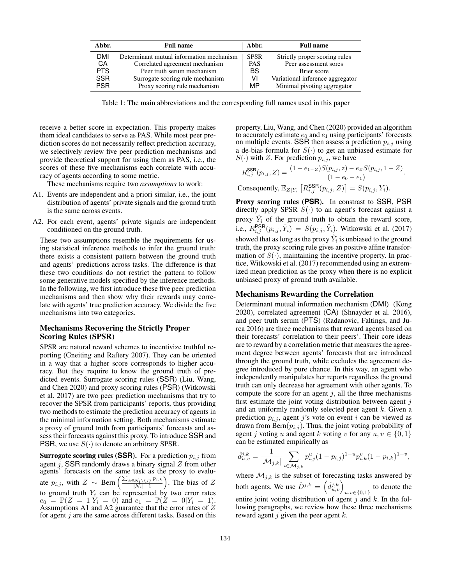| Abbr.      | <b>Full name</b>                         | Abbr.       | <b>Full name</b>                 |
|------------|------------------------------------------|-------------|----------------------------------|
| <b>DMI</b> | Determinant mutual information mechanism | <b>SPSR</b> | Strictly proper scoring rules    |
| CA         | Correlated agreement mechanism           | <b>PAS</b>  | Peer assessment sores            |
| <b>PTS</b> | Peer truth serum mechanism               | BS          | Brier score                      |
| <b>SSR</b> | Surrogate scoring rule mechanism         | v١          | Variational inference aggregator |
| <b>PSR</b> | Proxy scoring rule mechanism             | MP          | Minimal pivoting aggregator      |

Table 1: The main abbreviations and the corresponding full names used in this paper

receive a better score in expectation. This property makes them ideal candidates to serve as PAS. While most peer prediction scores do not necessarily reflect prediction accuracy, we selectively review five peer prediction mechanisms and provide theoretical support for using them as PAS, i.e., the scores of these five mechanisms each correlate with accuracy of agents according to some metric.

These mechanisms require two *assumptions* to work:

- A1. Events are independent and a priori similar, i.e., the joint distribution of agents' private signals and the ground truth is the same across events.
- A2. For each event, agents' private signals are independent conditioned on the ground truth.

These two assumptions resemble the requirements for using statistical inference methods to infer the ground truth: there exists a consistent pattern between the ground truth and agents' predictions across tasks. The difference is that these two conditions do not restrict the pattern to follow some generative models specified by the inference methods. In the following, we first introduce these five peer prediction mechanisms and then show why their rewards may correlate with agents' true prediction accuracy. We divide the five mechanisms into two categories.

# Mechanisms Recovering the Strictly Proper Scoring Rules (SPSR)

SPSR are natural reward schemes to incentivize truthful reporting (Gneiting and Raftery 2007). They can be oriented in a way that a higher score corresponds to higher accuracy. But they require to know the ground truth of predicted events. Surrogate scoring rules (SSR) (Liu, Wang, and Chen 2020) and proxy scoring rules (PSR) (Witkowski et al. 2017) are two peer prediction mechanisms that try to recover the SPSR from participants' reports, thus providing two methods to estimate the prediction accuracy of agents in the minimal information setting. Both mechanisms estimate a proxy of ground truth from participants' forecasts and assess their forecasts against this proxy. To introduce SSR and PSR, we use  $S(\cdot)$  to denote an arbitrary SPSR.

**Surrogate scoring rules (SSR).** For a prediction  $p_{i,j}$  from agent j, SSR randomly draws a binary signal  $Z$  from other agents' forecasts on the same task as the proxy to evaluate  $p_{i,j}$ , with  $Z \sim \text{Bern}\left(\frac{\sum_{k \in \mathcal{N}_i \setminus \{j\}} p_{i,k}}{\vert \mathcal{N}_i \vert - 1}\right)$  $\frac{N_i \setminus \{j\} p_{i,k}}{|N_i|-1}$ ). The bias of Z to ground truth  $Y_i$  can be represented by two error rates  $e_0 = \mathbb{P}(Z = 1 | Y_i = 0)$  and  $e_1 = \mathbb{P}(Z = 0 | Y_i = 1)$ . Assumptions A1 and A2 guarantee that the error rates of Z for agent  $j$  are the same across different tasks. Based on this property, Liu, Wang, and Chen (2020) provided an algorithm to accurately estimate  $e_0$  and  $e_1$  using participants' forecasts on multiple events. SSR then assess a prediction  $p_{i,j}$  using a de-bias formula for  $S(\cdot)$  to get an unbiased estimate for  $S(\cdot)$  with Z. For prediction  $p_{i,j}$ , we have

$$
R_{i,j}^{\text{SSR}}(p_{i,j}, Z) = \frac{(1 - e_{1-Z})S(p_{i,j}, z) - e_Z S(p_{i,j}, 1 - Z)}{(1 - e_0 - e_1)}.
$$

Consequently,  $\mathbb{E}_{Z|Y_i}\left[R_{i,j}^{\text{SSR}}(p_{i,j}, Z)\right] = S(p_{i,j}, Y_i)$ .

Proxy scoring rules (**PSR**). In constrast to SSR, PSR directly apply SPSR  $S(\cdot)$  to an agent's forecast against a proxy  $\hat{Y}_i$  of the ground truth to obtain the reward score, i.e.,  $R_{i,j}^{\text{PSR}}(p_{i,j}, \hat{Y}_i) = S(p_{i,j}, \hat{Y}_i)$ . Witkowski et al. (2017) showed that as long as the proxy  $\hat{Y}_i$  is unbiased to the ground truth, the proxy scoring rule gives an positive affine transformation of  $S(\cdot)$ , maintaining the incentive property. In practice, Witkowski et al. (2017) recommended using an extremized mean prediction as the proxy when there is no explicit unbiased proxy of ground truth available.

## Mechanisms Rewarding the Correlation

Determinant mutual information mechanism (DMI) (Kong 2020), correlated agreement (CA) (Shnayder et al. 2016), and peer truth serum (PTS) (Radanovic, Faltings, and Jurca 2016) are three mechanisms that reward agents based on their forecasts' correlation to their peers'. Their core ideas are to reward by a correlation metric that measures the agreement degree between agents' forecasts that are introduced through the ground truth, while excludes the agreement degree introduced by pure chance. In this way, an agent who independently manipulates her reports regardless the ground truth can only decrease her agreement with other agents. To compute the score for an agent  $j$ , all the three mechanisms first estimate the joint voting distribution between agent  $j$ and an uniformly randomly selected peer agent  $k$ . Given a prediction  $p_{i,j}$ , agent j's vote on event i can be viewed as drawn from  $Bern(p_{i,j})$ . Thus, the joint voting probability of agent j voting u and agent k voting v for any  $u, v \in \{0, 1\}$ can be estimated empirically as

$$
\hat{d}_{u,v}^{j,k} = \frac{1}{|\mathcal{M}_{j,k}|} \sum_{i \in \mathcal{M}_{j,k}} p_{i,j}^u (1 - p_{i,j})^{1-u} p_{i,k}^v (1 - p_{i,k})^{1-v},
$$

where  $\mathcal{M}_{j,k}$  is the subset of forecasting tasks answered by both agents. We use  $\hat{D}^{j,k} = \left(\hat{d}_{u,v}^{j,k}\right)_{u,v \in \{0,1\}}$  to denote the entire joint voting distribution of agent j and k. In the following paragraphs, we review how these three mechanisms reward agent  $j$  given the peer agent  $k$ .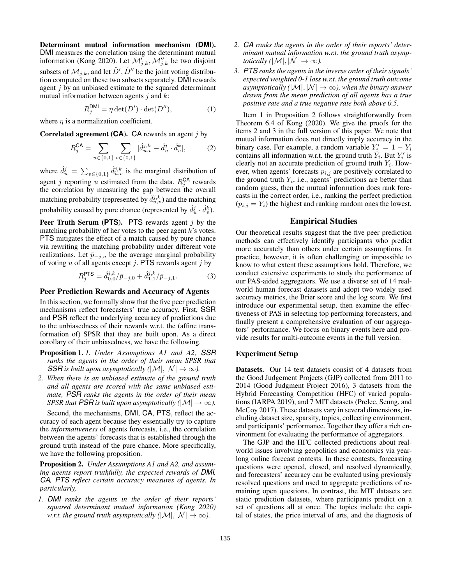Determinant mutual information mechanism (**DMI**). DMI measures the correlation using the determinant mutual information (Kong 2020). Let  $\mathcal{M}'_{j,k}$ ,  $\mathcal{M}''_{j,k}$  be two disjoint subsets of  $\mathcal{M}_{j,k}$ , and let  $\hat{D}', \hat{D}''$  be the joint voting distribution computed on these two subsets separately. DMI rewards agent  $j$  by an unbiased estimate to the squared determinant mutual information between agents  $j$  and  $k$ :

$$
R_j^{\text{DMI}} = \eta \det(D') \cdot \det(D''),\tag{1}
$$

where  $\eta$  is a normalization coefficient.

Correlated agreement (**CA**). CA rewards an agent j by

$$
R_j^{\mathsf{CA}} = \sum_{u \in \{0,1\}} \sum_{v \in \{0,1\}} |\hat{d}_{u,v}^{j,k} - \hat{d}_u^j \cdot \hat{d}_v^k|, \tag{2}
$$

where  $\hat{d}_u^j = \sum_{v \in \{0,1\}} \hat{d}_{u,v}^{j,k}$  is the marginal distribution of agent *j* reporting *u* estimated from the data.  $R_j^{\text{CA}}$  rewards the correlation by measuring the gap between the overall matching probability (represented by  $\hat{d}_{u,v}^{j,k}$ ) and the matching probability caused by pure chance (represented by  $\hat{d}_u^j \cdot \hat{d}_v^k$ ).

Peer Truth Serum (**PTS**). PTS rewards agent j by the matching probability of her votes to the peer agent  $k$ 's votes. PTS mitigates the effect of a match caused by pure chance via rewriting the matching probability under different vote realizations. Let  $\bar{p}_{-j,u}$  be the average marginal probability of voting  $u$  of all agents except  $j$ . PTS rewards agent  $j$  by

$$
R_j^{\text{PTS}} = \hat{d}_{0,0}^{j,k} / \bar{p}_{-j,0} + \hat{d}_{1,1}^{j,k} / \bar{p}_{-j,1}.
$$
 (3)

# Peer Prediction Rewards and Accuracy of Agents

In this section, we formally show that the five peer prediction mechanisms reflect forecasters' true accuracy. First, SSR and PSR reflect the underlying accuracy of predictions due to the unbiasedness of their rewards w.r.t. the (affine transformation of) SPSR that they are built upon. As a direct corollary of their unbiasedness, we have the following.

- Proposition 1. *1. Under Assumptions A1 and A2, SSR ranks the agents in the order of their mean SPSR that SSR is built upon asymptotically*  $(|\mathcal{M}|, |\mathcal{N}| \to \infty)$ .
- *2. When there is an unbiased estimate of the ground truth and all agents are scored with the same unbiased estimate, PSR ranks the agents in the order of their mean SPSR that PSR is built upon asymptotically (* $|\mathcal{M}| \to \infty$ ).

Second, the mechanisms, DMI, CA, PTS, reflect the accuracy of each agent because they essentially try to capture the *informativeness* of agents forecasts, i.e., the correlation between the agents' forecasts that is established through the ground truth instead of the pure chance. More specifically, we have the following proposition.

Proposition 2. *Under Assumptions A1 and A2, and assuming agents report truthfully, the expected rewards of DMI, CA, PTS reflect certain accuracy measures of agents. In particularly,*

*1. DMI ranks the agents in the order of their reports' squared determinant mutual information (Kong 2020) w.r.t. the ground truth asymptotically (* $|\mathcal{M}|, |\mathcal{N}| \to \infty$ ).

- *2. CA ranks the agents in the order of their reports' determinant mutual information w.r.t. the ground truth asymptotically*  $(|\mathcal{M}|, |\mathcal{N}| \to \infty)$ .
- *3. PTS ranks the agents in the inverse order of their signals' expected weighted 0-1 loss w.r.t. the ground truth outcome asymptotically* ( $|M|, |N| \rightarrow \infty$ ), when the binary answer *drawn from the mean prediction of all agents has a true positive rate and a true negative rate both above 0.5.*

Item 1 in Proposition 2 follows straightforwardly from Theorem 6.4 of Kong (2020). We give the proofs for the items 2 and 3 in the full version of this paper. We note that mutual information does not directly imply accuracy in the binary case. For example, a random variable  $Y_i' = 1 - Y_i$ contains all information w.r.t. the ground truth  $Y_i$ . But  $Y_i'$  is clearly not an accurate prediction of ground truth  $Y_i$ . However, when agents' forecasts  $p_{i,j}$  are positively correlated to the ground truth  $Y_i$ , i.e., agents' predictions are better than random guess, then the mutual information does rank forecasts in the correct order, i.e., ranking the perfect prediction  $(p_{i,j} = Y_i)$  the highest and ranking random ones the lowest.

### Empirical Studies

Our theoretical results suggest that the five peer prediction methods can effectively identify participants who predict more accurately than others under certain assumptions. In practice, however, it is often challenging or impossible to know to what extent these assumptions hold. Therefore, we conduct extensive experiments to study the performance of our PAS-aided aggregators. We use a diverse set of 14 realworld human forecast datasets and adopt two widely used accuracy metrics, the Brier score and the log score. We first introduce our experimental setup, then examine the effectiveness of PAS in selecting top performing forecasters, and finally present a comprehensive evaluation of our aggregators' performance. We focus on binary events here and provide results for multi-outcome events in the full version.

#### Experiment Setup

Datasets. Our 14 test datasets consist of 4 datasets from the Good Judgement Projects (GJP) collected from 2011 to 2014 (Good Judgment Project 2016), 3 datasets from the Hybrid Forecasting Competition (HFC) of varied populations (IARPA 2019), and 7 MIT datasets (Prelec, Seung, and McCoy 2017). These datasets vary in several dimensions, including dataset size, sparsity, topics, collecting environment, and participants' performance. Together they offer a rich environment for evaluating the performance of aggregators.

The GJP and the HFC collected predictions about realworld issues involving geopolitics and economics via yearlong online forecast contests. In these contests, forecasting questions were opened, closed, and resolved dynamically, and forecasters' accuracy can be evaluated using previously resolved questions and used to aggregate predictions of remaining open questions. In contrast, the MIT datasets are static prediction datasets, where participants predict on a set of questions all at once. The topics include the capital of states, the price interval of arts, and the diagnosis of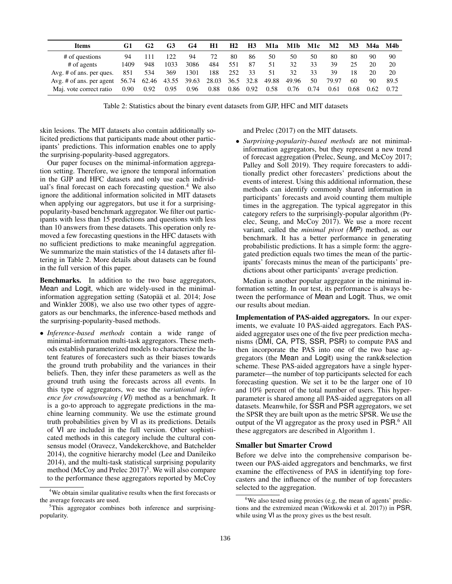| Items                                  | G1   | G2   | G3    | G4    | Η1    | H <sub>2</sub> | <b>H3</b> | M1a   | M1b   | M1c  | $\mathbf{M2}$ | M3   | M4a  | M4b  |
|----------------------------------------|------|------|-------|-------|-------|----------------|-----------|-------|-------|------|---------------|------|------|------|
| # of questions                         | 94   | 111  | 122   | 94    | 72    | 80             | 86        | 50    | 50    | 50   | 80            | 80   | 90   | 90   |
| # of agents                            | 1409 | 948  | 1033  | 3086  | 484   | 551            | 87        | 51    | 32    | 33   | 39            | 25   | 20   | 20   |
| $Avg. \#$ of ans. per ques.            | 851  | 534  | 369   | 1301  | 188   | 252            | 33        | 51    | 32    | 33   | 39            | 18   | 20   | 20   |
| Avg. # of ans. per agent $56.74$ 62.46 |      |      | 43.55 | 39.63 | 28.03 |                | 36.5 32.8 | 49.88 | 49.96 | 50   | 79.97         | 60   | 90   | 89.5 |
| Maj. vote correct ratio                | 0.90 | 0.92 | 0.95  | 0.96  | 0.88  | 0.86           | 0.92      | 0.58  | 0.76  | 0.74 | 0.61          | 0.68 | 0.62 | 0.72 |

Table 2: Statistics about the binary event datasets from GJP, HFC and MIT datasets

skin lesions. The MIT datasets also contain additionally solicited predictions that participants made about other participants' predictions. This information enables one to apply the surprising-popularity-based aggregators.

Our paper focuses on the minimal-information aggregation setting. Therefore, we ignore the temporal information in the GJP and HFC datasets and only use each individual's final forecast on each forecasting question. $4$  We also ignore the additional information solicited in MIT datasets when applying our aggregators, but use it for a surprisingpopularity-based benchmark aggregator. We filter out participants with less than 15 predictions and questions with less than 10 answers from these datasets. This operation only removed a few forecasting questions in the HFC datasets with no sufficient predictions to make meaningful aggregation. We summarize the main statistics of the 14 datasets after filtering in Table 2. More details about datasets can be found in the full version of this paper.

Benchmarks. In addition to the two base aggregators, Mean and Logit, which are widely-used in the minimalinformation aggregation setting (Satopää et al. 2014; Jose and Winkler 2008), we also use two other types of aggregators as our benchmarks, the inference-based methods and the surprising-popularity-based methods.

• *Inference-based methods* contain a wide range of minimal-information multi-task aggregators. These methods establish parameterized models to characterize the latent features of forecasters such as their biases towards the ground truth probability and the variances in their beliefs. Then, they infer these parameters as well as the ground truth using the forecasts across all events. In this type of aggregators, we use the *variational inference for crowdsourcing (VI)* method as a benchmark. It is a go-to approach to aggregate predictions in the machine learning community. We use the estimate ground truth probabilities given by VI as its predictions. Details of VI are included in the full version. Other sophisticated methods in this category include the cultural consensus model (Oravecz, Vandekerckhove, and Batchelder 2014), the cognitive hierarchy model (Lee and Danileiko 2014), and the multi-task statistical surprising popularity method (McCoy and Prelec  $2017$ )<sup>5</sup>. We will also compare to the performance these aggregators reported by McCoy

and Prelec (2017) on the MIT datasets.

• *Surprising-popularity-based methods* are not minimalinformation aggregators, but they represent a new trend of forecast aggregation (Prelec, Seung, and McCoy 2017; Palley and Soll 2019). They require forecasters to additionally predict other forecasters' predictions about the events of interest. Using this additional information, these methods can identify commonly shared information in participants' forecasts and avoid counting them multiple times in the aggregation. The typical aggregator in this category refers to the surprisingly-popular algorithm (Prelec, Seung, and McCoy 2017). We use a more recent variant, called the *minimal pivot (MP)* method, as our benchmark. It has a better performance in generating probabilistic predictions. It has a simple form: the aggregated prediction equals two times the mean of the participants' forecasts minus the mean of the participants' predictions about other participants' average prediction.

Median is another popular aggregator in the minimal information setting. In our test, its performance is always between the performance of Mean and Logit. Thus, we omit our results about median.

Implementation of PAS-aided aggregators. In our experiments, we evaluate 10 PAS-aided aggregators. Each PASaided aggregator uses one of the five peer prediction mechanisms (DMI, CA, PTS, SSR, PSR) to compute PAS and then incorporate the PAS into one of the two base aggregators (the Mean and Logit) using the rank&selection scheme. These PAS-aided aggregators have a single hyperparameter—the number of top participants selected for each forecasting question. We set it to be the larger one of 10 and 10% percent of the total number of users. This hyperparameter is shared among all PAS-aided aggregators on all datasets. Meanwhile, for SSR and PSR aggregators, we set the SPSR they are built upon as the metric SPSR. We use the output of the VI aggregator as the proxy used in PSR.<sup>6</sup> All these aggregators are described in Algorithm 1.

## Smaller but Smarter Crowd

Before we delve into the comprehensive comparison between our PAS-aided aggregators and benchmarks, we first examine the effectiveness of PAS in identifying top forecasters and the influence of the number of top forecasters selected to the aggregation.

<sup>4</sup>We obtain similar qualitative results when the first forecasts or the average forecasts are used.

<sup>5</sup>This aggregator combines both inference and surprisingpopularity.

 $6$ We also tested using proxies (e.g, the mean of agents' predictions and the extremized mean (Witkowski et al. 2017)) in PSR, while using VI as the proxy gives us the best result.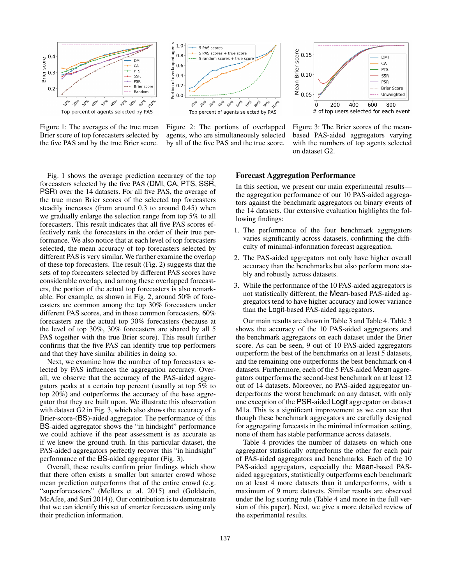

Figure 1: The averages of the true mean Brier score of top forecasters selected by the five PAS and by the true Brier score.



Figure 2: The portions of overlapped agents, who are simultaneously selected by all of the five PAS and the true score.



Figure 3: The Brier scores of the meanbased PAS-aided aggregators varying with the numbers of top agents selected on dataset G2.

Fig. 1 shows the average prediction accuracy of the top forecasters selected by the five PAS (DMI, CA, PTS, SSR, PSR) over the 14 datasets. For all five PAS, the average of the true mean Brier scores of the selected top forecasters steadily increases (from around 0.3 to around 0.45) when we gradually enlarge the selection range from top 5% to all forecasters. This result indicates that all five PAS scores effectively rank the forecasters in the order of their true performance. We also notice that at each level of top forecasters selected, the mean accuracy of top forecasters selected by different PAS is very similar. We further examine the overlap of these top forecasters. The result (Fig. 2) suggests that the sets of top forecasters selected by different PAS scores have considerable overlap, and among these overlapped forecasters, the portion of the actual top forecasters is also remarkable. For example, as shown in Fig. 2, around 50% of forecasters are common among the top 30% forecasters under different PAS scores, and in these common forecasters, 60% forecasters are the actual top 30% forecasters (because at the level of top 30%, 30% forecasters are shared by all 5 PAS together with the true Brier score). This result further confirms that the five PAS can identify true top performers and that they have similar abilities in doing so.

Next, we examine how the number of top forecasters selected by PAS influences the aggregation accuracy. Overall, we observe that the accuracy of the PAS-aided aggregators peaks at a certain top percent (usually at top 5% to top 20%) and outperforms the accuracy of the base aggregator that they are built upon. We illustrate this observation with dataset G2 in Fig. 3, which also shows the accuracy of a Brier-score-(BS)-aided aggregator. The performance of this BS-aided aggregator shows the "in hindsight" performance we could achieve if the peer assessment is as accurate as if we knew the ground truth. In this particular dataset, the PAS-aided aggregators perfectly recover this "in hindsight" performance of the BS-aided aggregator (Fig. 3).

Overall, these results confirm prior findings which show that there often exists a smaller but smarter crowd whose mean prediction outperforms that of the entire crowd (e.g. "superforecasters" (Mellers et al. 2015) and (Goldstein, McAfee, and Suri 2014)). Our contribution is to demonstrate that we can identify this set of smarter forecasters using only their prediction information.

## Forecast Aggregation Performance

In this section, we present our main experimental results the aggregation performance of our 10 PAS-aided aggregators against the benchmark aggregators on binary events of the 14 datasets. Our extensive evaluation highlights the following findings:

- 1. The performance of the four benchmark aggregators varies significantly across datasets, confirming the difficulty of minimal-information forecast aggregation.
- 2. The PAS-aided aggregators not only have higher overall accuracy than the benchmarks but also perform more stably and robustly across datasets.
- 3. While the performance of the 10 PAS-aided aggregators is not statistically different, the Mean-based PAS-aided aggregators tend to have higher accuracy and lower variance than the Logit-based PAS-aided aggregators.

Our main results are shown in Table 3 and Table 4. Table 3 shows the accuracy of the 10 PAS-aided aggregators and the benchmark aggregators on each dataset under the Brier score. As can be seen, 9 out of 10 PAS-aided aggregators outperform the best of the benchmarks on at least 5 datasets, and the remaining one outperforms the best benchmark on 4 datasets. Furthermore, each of the 5 PAS-aided Mean aggregators outperforms the second-best benchmark on at least 12 out of 14 datasets. Moreover, no PAS-aided aggregator underperforms the worst benchmark on any dataset, with only one exception of the PSR-aided Logit aggregator on dataset M1a. This is a significant improvement as we can see that though these benchmark aggregators are carefully designed for aggregating forecasts in the minimal information setting, none of them has stable performance across datasets.

Table 4 provides the number of datasets on which one aggregator statistically outperforms the other for each pair of PAS-aided aggregators and benchmarks. Each of the 10 PAS-aided aggregators, especially the Mean-based PASaided aggregators, statistically outperforms each benchmark on at least 4 more datasets than it underperforms, with a maximum of 9 more datasets. Similar results are observed under the log scoring rule (Table 4 and more in the full version of this paper). Next, we give a more detailed review of the experimental results.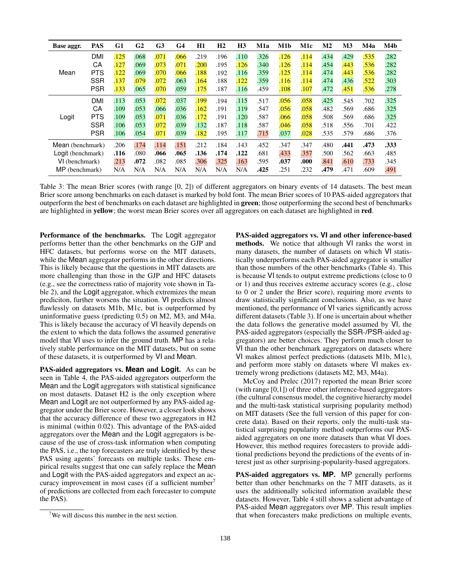| Base aggr.        | <b>PAS</b> | G1   | G <sub>2</sub> | G <sub>3</sub> | G <sub>4</sub> | <b>H1</b> | H <sub>2</sub> | H <sub>3</sub> | M1a  | M1b  | M1c  | M <sub>2</sub> | M <sub>3</sub> | M4a  | M4b  |
|-------------------|------------|------|----------------|----------------|----------------|-----------|----------------|----------------|------|------|------|----------------|----------------|------|------|
| Mean              | <b>DMI</b> | .125 | .068           | .071           | .066           | .219      | .196           | .110           | .326 | .126 | .114 | .434           | .429           | .535 | .282 |
|                   | СA         | .127 | .069           | .073           | .071           | .200      | .195           | .126           | .340 | .126 | .114 | .454           | .443           | .536 | .282 |
|                   | <b>PTS</b> | .122 | .069           | .070           | .066           | 188       | .192           | .116           | .359 | .125 | .114 | .474           | .443           | .536 | .282 |
|                   | <b>SSR</b> | .137 | .079           | .072           | .063           | .164      | .188           | .122           | 359  | .116 | .114 | .474           | .436           | .522 | .303 |
|                   | <b>PSR</b> | .133 | .065           | .070           | .059           | .175      | .187           | .116           | .459 | .108 | .107 | .472           | .451           | .536 | .278 |
|                   | <b>DMI</b> | .113 | .053           | .072           | .037           | .199      | .194           | .115           | .517 | .056 | .058 | .425           | .545           | .702 | .325 |
|                   | СA         | 109  | .053           | .066           | .036           | 162       | .191           | .119           | .547 | .056 | .058 | .482           | .569           | .686 | .325 |
| Logit             | <b>PTS</b> | 109  | .053           | .071           | .036           | .172      | .191           | .120           | .587 | .066 | .058 | .508           | .569           | .686 | .325 |
|                   | <b>SSR</b> | 106  | .053           | .072           | .039           | 132       | .187           | .118           | .587 | .046 | .058 | .518           | .556           | .701 | .422 |
|                   | <b>PSR</b> | 106  | .054           | .071           | .039           | .182      | .195           | .117           | .715 | .037 | .028 | .535           | .579           | .686 | .376 |
| Mean (benchmark)  |            | .206 | .174           | .114           | .151           | .212      | .184           | .143           | .452 | .347 | .347 | .480           | .441           | .473 | .333 |
| Logit (benchmark) |            | .116 | .080           | .066           | .065           | .136      | .174           | .122           | .681 | .433 | .357 | .500           | .562           | .663 | .485 |
| VI (benchmark)    |            | .213 | .072           | .082           | .085           | 306       | 325            | .163           | .595 | .037 | .000 | .841           | .610           | .733 | .345 |
| MP (benchmark)    |            | N/A  | N/A            | N/A            | N/A            | N/A       | N/A            | N/A            | .425 | .251 | .232 | .479           | .471           | .609 | .491 |

Table 3: The mean Brier scores (with range [0, 2]) of different aggregators on binary events of 14 datasets. The best mean Brier score among benchmarks on each dataset is marked by bold font. The mean Brier scores of 10 PAS-aided aggregators that outperform the best of benchmarks on each dataset are highlighted in green; those outperforming the second best of benchmarks are highlighted in yellow; the worst mean Brier scores over all aggregators on each dataset are highlighted in red.

Performance of the benchmarks. The Logit aggregator performs better than the other benchmarks on the GJP and HFC datasets, but performs worse on the MIT datasets, while the Mean aggregator performs in the other directions. This is likely because that the questions in MIT datasets are more challenging than those in the GJP and HFC datasets (e.g., see the correctness ratio of majority vote shown in Table 2), and the Logit aggregator, which extremizes the mean prediciton, further worsens the situation. VI predicts almost flawlessly on datasets M1b, M1c, but is outperformed by uninformative guess (predicting 0.5) on M2, M3, and M4a. This is likely because the accuracy of VI heavily depends on the extent to which the data follows the assumed generative model that VI uses to infer the ground truth. MP has a relatively stable performance on the MIT datasets, but on some of these datasets, it is outperformed by VI and Mean.

PAS-aided aggregators vs. **Mean** and **Logit**. As can be seen in Table 4, the PAS-aided aggregators outperform the Mean and the Logit aggregators with statistical significance on most datasets. Dataset H2 is the only exception where Mean and Logit are not outperformed by any PAS-aided aggregator under the Brier score. However, a closer look shows that the accuracy difference of these two aggregators in H2 is minimal (within 0.02). This advantage of the PAS-aided aggregators over the Mean and the Logit aggregators is because of the use of cross-task information when computing the PAS, i.e., the top forecasters are truly identified by these PAS using agents' forecasts on multiple tasks. These empirical results suggest that one can safely replace the Mean and Logit with the PAS-aided aggregators and expect an accuracy improvement in most cases (if a sufficient number<sup>7</sup> of predictions are collected from each forecaster to compute the PAS).

PAS-aided aggregators vs. **VI** and other inference-based methods. We notice that although VI ranks the worst in many datasets, the number of datasets on which VI statistically underperforms each PAS-aided aggregator is smaller than those numbers of the other benchmarks (Table 4). This is because VI tends to output extreme predictions (close to 0 or 1) and thus receives extreme accuracy scores (e.g., close to 0 or 2 under the Brier score), requiring more events to draw statistically significant conclusions. Also, as we have mentioned, the performance of VI varies significantly across different datasets (Table 3). If one is uncertain about whether the data follows the generative model assumed by VI, the PAS-aided aggregators (especially the SSR-/PSR-aided aggregators) are better choices. They perform much closer to VI than the other benchmark aggregators on datasets where VI makes almost perfect predictions (datasets M1b, M1c), and perform more stably on datasets where VI makes extremely wrong predictions (datasets M2, M3, M4a).

McCoy and Prelec (2017) reported the mean Brier score (with range [0,1]) of three other inference-based aggregators (the cultural consensus model, the cognitive hierarchy model and the multi-task statistical surprising popularity method) on MIT datasets (See the full version of this paper for concrete data). Based on their reports, only the multi-task statistical surprising popularity method outperforms our PASaided aggregators on one more datasets than what VI does. However, this method requires forecasters to provide additional predictions beyond the predictions of the events of interest just as other surprising-popularity-based aggregators.

PAS-aided aggregators vs. **MP**. MP generally performs better than other benchmarks on the 7 MIT datasets, as it uses the additionally solicited information available these datasets. However, Table 4 still shows a salient advantage of PAS-aided Mean aggregators over MP. This result implies that when forecasters make predictions on multiple events,

 $7$ We will discuss this number in the next section.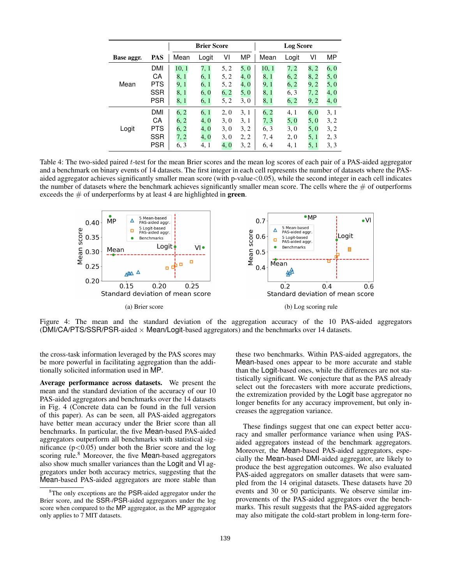|            |            |       | <b>Brier Score</b> |      |      | <b>Log Score</b> |       |      |      |  |  |
|------------|------------|-------|--------------------|------|------|------------------|-------|------|------|--|--|
| Base aggr. | PAS        | Mean  | Logit              | ٧I   | MP   | Mean             | Logit | ٧I   | МP   |  |  |
| Mean       | <b>DMI</b> | 10, 1 | 7, 1               | 5, 2 | 5, 0 | 10, 1            | 7, 2  | 8, 2 | 6, 0 |  |  |
|            | СA         | 8, 1  | 6, 1               | 5, 2 | 4, 0 | 8, 1             | 6, 2  | 8, 2 | 5, 0 |  |  |
|            | <b>PTS</b> | 9, 1  | 6, 1               | 5, 2 | 4, 0 | 9, 1             | 6, 2  | 9, 2 | 5, 0 |  |  |
|            | <b>SSR</b> | 8, 1  | 6. 0               | 6, 2 | 5, 0 | 8, 1             | 6, 3  | 7, 2 | 4, 0 |  |  |
|            | <b>PSR</b> | 8, 1  | 6, 1               | 5, 2 | 3, 0 | 8, 1             | 6, 2  | 9, 2 | 4, 0 |  |  |
| Logit      | DMI        | 6, 2  | 6, 1               | 2, 0 | 3, 1 | 6, 2             | 4, 1  | 6, 0 | 3, 1 |  |  |
|            | CA         | 6, 2  | 4. 0               | 3, 0 | 3, 1 | 7, 3             | 5, 0  | 5, 0 | 3, 2 |  |  |
|            | <b>PTS</b> | 6, 2  | 4. 0               | 3,0  | 3, 2 | 6, 3             | 3,0   | 5, 0 | 3, 2 |  |  |
|            | <b>SSR</b> | 7, 2  | 4, 0               | 3, 0 | 2, 2 | 7, 4             | 2, 0  | 5, 1 | 2, 3 |  |  |
|            | <b>PSR</b> | 6, 3  | 4, 1               | 4, 0 | 3, 2 | 6, 4             | 4, 1  | 5, 1 | 3, 3 |  |  |

Table 4: The two-sided paired t-test for the mean Brier scores and the mean log scores of each pair of a PAS-aided aggregator and a benchmark on binary events of 14 datasets. The first integer in each cell represents the number of datasets where the PASaided aggregator achieves significantly smaller mean score (with p-value < 0.05), while the second integer in each cell indicates the number of datasets where the benchmark achieves significantly smaller mean score. The cells where the  $#$  of outperforms exceeds the  $\#$  of underperforms by at least 4 are highlighted in **green**.



Figure 4: The mean and the standard deviation of the aggregation accuracy of the 10 PAS-aided aggregators (DMI/CA/PTS/SSR/PSR-aided  $\times$  Mean/Logit-based aggregators) and the benchmarks over 14 datasets.

the cross-task information leveraged by the PAS scores may be more powerful in facilitating aggregation than the additionally solicited information used in MP.

Average performance across datasets. We present the mean and the standard deviation of the accuracy of our 10 PAS-aided aggregators and benchmarks over the 14 datasets in Fig. 4 (Concrete data can be found in the full version of this paper). As can be seen, all PAS-aided aggregators have better mean accuracy under the Brier score than all benchmarks. In particular, the five Mean-based PAS-aided aggregators outperform all benchmarks with statistical significance ( $p<0.05$ ) under both the Brier score and the log scoring rule.<sup>8</sup> Moreover, the five Mean-based aggregators also show much smaller variances than the Logit and VI aggregators under both accuracy metrics, suggesting that the Mean-based PAS-aided aggregators are more stable than

these two benchmarks. Within PAS-aided aggregators, the Mean-based ones appear to be more accurate and stable than the Logit-based ones, while the differences are not statistically significant. We conjecture that as the PAS already select out the forecasters with more accurate predictions, the extremization provided by the Logit base aggregator no longer benefits for any accuracy improvement, but only increases the aggregation variance.

These findings suggest that one can expect better accuracy and smaller performance variance when using PASaided aggregators instead of the benchmark aggregators. Moreover, the Mean-based PAS-aided aggregators, especially the Mean-based DMI-aided aggregator, are likely to produce the best aggregation outcomes. We also evaluated PAS-aided aggregators on smaller datasets that were sampled from the 14 original datasets. These datasets have 20 events and 30 or 50 participants. We observe similar improvements of the PAS-aided aggregators over the benchmarks. This result suggests that the PAS-aided aggregators may also mitigate the cold-start problem in long-term fore-

<sup>&</sup>lt;sup>8</sup>The only exceptions are the PSR-aided aggregator under the Brier score, and the SSR-/PSR-aided aggregators under the log score when compared to the MP aggregator, as the MP aggregator only applies to 7 MIT datasets.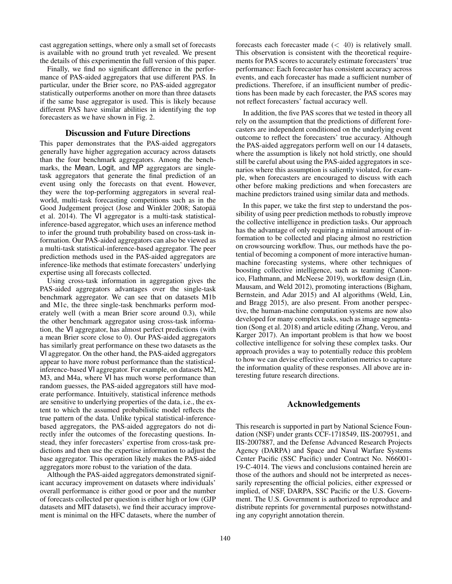cast aggregation settings, where only a small set of forecasts is available with no ground truth yet revealed. We present the details of this experimentin the full version of this paper.

Finally, we find no significant difference in the performance of PAS-aided aggregators that use different PAS. In particular, under the Brier score, no PAS-aided aggregator statistically outperforms another on more than three datasets if the same base aggregator is used. This is likely because different PAS have similar abilities in identifying the top forecasters as we have shown in Fig. 2.

# Discussion and Future Directions

This paper demonstrates that the PAS-aided aggregators generally have higher aggregation accuracy across datasets than the four benchmark aggregators. Among the benchmarks, the Mean, Logit, and MP aggregators are singletask aggregators that generate the final prediction of an event using only the forecasts on that event. However, they were the top-performing aggregators in several realworld, multi-task forecasting competitions such as in the Good Judgement project (Jose and Winkler 2008; Satopää et al. 2014). The VI aggregator is a multi-task statisticalinference-based aggregator, which uses an inference method to infer the ground truth probability based on cross-task information. Our PAS-aided aggregators can also be viewed as a multi-task statistical-inference-based aggregator. The peer prediction methods used in the PAS-aided aggregators are inference-like methods that estimate forecasters' underlying expertise using all forecasts collected.

Using cross-task information in aggregation gives the PAS-aided aggregators advantages over the single-task benchmark aggregator. We can see that on datasets M1b and M1c, the three single-task benchmarks perform moderately well (with a mean Brier score around 0.3), while the other benchmark aggregator using cross-task information, the VI aggregator, has almost perfect predictions (with a mean Brier score close to 0). Our PAS-aided aggregators has similarly great performance on these two datasets as the VI aggregator. On the other hand, the PAS-aided aggregators appear to have more robust performance than the statisticalinference-based VI aggregator. For example, on datasets M2, M3, and M4a, where VI has much worse performance than random guesses, the PAS-aided aggregators still have moderate performance. Intuitively, statistical inference methods are sensitive to underlying properties of the data, i.e., the extent to which the assumed probabilistic model reflects the true pattern of the data. Unlike typical statistical-inferencebased aggregators, the PAS-aided aggregators do not directly infer the outcomes of the forecasting questions. Instead, they infer forecasters' expertise from cross-task predictions and then use the expertise information to adjust the base aggregator. This operation likely makes the PAS-aided aggregators more robust to the variation of the data.

Although the PAS-aided aggregators demonstrated significant accuracy improvement on datasets where individuals' overall performance is either good or poor and the number of forecasts collected per question is either high or low (GJP datasets and MIT datasets), we find their accuracy improvement is minimal on the HFC datasets, where the number of forecasts each forecaster made  $(< 40)$  is relatively small. This observation is consistent with the theoretical requirements for PAS scores to accurately estimate forecasters' true performance: Each forecaster has consistent accuracy across events, and each forecaster has made a sufficient number of predictions. Therefore, if an insufficient number of predictions has been made by each forecaster, the PAS scores may not reflect forecasters' factual accuracy well.

In addition, the five PAS scores that we tested in theory all rely on the assumption that the predictions of different forecasters are independent conditioned on the underlying event outcome to reflect the forecasters' true accuracy. Although the PAS-aided aggregators perform well on our 14 datasets, where the assumption is likely not hold strictly, one should still be careful about using the PAS-aided aggregators in scenarios where this assumption is saliently violated, for example, when forecasters are encouraged to discuss with each other before making predictions and when forecasters are machine predictors trained using similar data and methods.

In this paper, we take the first step to understand the possibility of using peer prediction methods to robustly improve the collective intelligence in prediction tasks. Our approach has the advantage of only requiring a minimal amount of information to be collected and placing almost no restriction on crowsourcing workflow. Thus, our methods have the potential of becoming a component of more interactive humanmachine forecasting systems, where other techniques of boosting collective intelligence, such as teaming (Canonico, Flathmann, and McNeese 2019), workflow design (Lin, Mausam, and Weld 2012), promoting interactions (Bigham, Bernstein, and Adar 2015) and AI algorithms (Weld, Lin, and Bragg 2015), are also present. From another perspective, the human-machine computation systems are now also developed for many complex tasks, such as image segmentation (Song et al. 2018) and article editing (Zhang, Verou, and Karger 2017). An important problem is that how we boost collective intelligence for solving these complex tasks. Our approach provides a way to potentially reduce this problem to how we can devise effective correlation metrics to capture the information quality of these responses. All above are interesting future research directions.

### Acknowledgements

This research is supported in part by National Science Foundation (NSF) under grants CCF-1718549, IIS-2007951, and IIS-2007887, and the Defense Advanced Research Projects Agency (DARPA) and Space and Naval Warfare Systems Center Pacific (SSC Pacific) under Contract No. N66001- 19-C-4014. The views and conclusions contained herein are those of the authors and should not be interpreted as necessarily representing the official policies, either expressed or implied, of NSF, DARPA, SSC Pacific or the U.S. Government. The U.S. Government is authorized to reproduce and distribute reprints for governmental purposes notwithstanding any copyright annotation therein.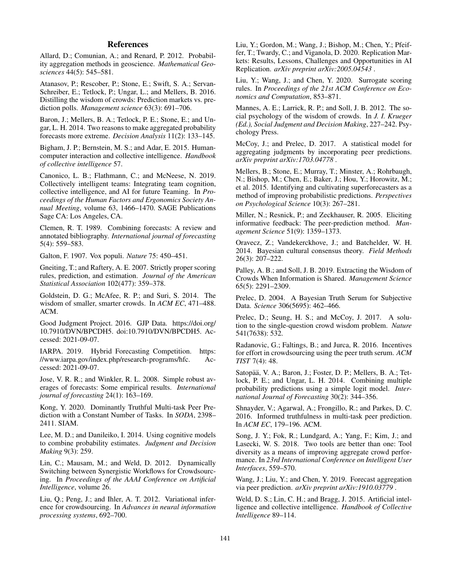## References

Allard, D.; Comunian, A.; and Renard, P. 2012. Probability aggregation methods in geoscience. *Mathematical Geosciences* 44(5): 545–581.

Atanasov, P.; Rescober, P.; Stone, E.; Swift, S. A.; Servan-Schreiber, E.; Tetlock, P.; Ungar, L.; and Mellers, B. 2016. Distilling the wisdom of crowds: Prediction markets vs. prediction polls. *Management science* 63(3): 691–706.

Baron, J.; Mellers, B. A.; Tetlock, P. E.; Stone, E.; and Ungar, L. H. 2014. Two reasons to make aggregated probability forecasts more extreme. *Decision Analysis* 11(2): 133–145.

Bigham, J. P.; Bernstein, M. S.; and Adar, E. 2015. Humancomputer interaction and collective intelligence. *Handbook of collective intelligence* 57.

Canonico, L. B.; Flathmann, C.; and McNeese, N. 2019. Collectively intelligent teams: Integrating team cognition, collective intelligence, and AI for future Teaming. In *Proceedings of the Human Factors and Ergonomics Society Annual Meeting*, volume 63, 1466–1470. SAGE Publications Sage CA: Los Angeles, CA.

Clemen, R. T. 1989. Combining forecasts: A review and annotated bibliography. *International journal of forecasting* 5(4): 559–583.

Galton, F. 1907. Vox populi. *Nature* 75: 450–451.

Gneiting, T.; and Raftery, A. E. 2007. Strictly proper scoring rules, prediction, and estimation. *Journal of the American Statistical Association* 102(477): 359–378.

Goldstein, D. G.; McAfee, R. P.; and Suri, S. 2014. The wisdom of smaller, smarter crowds. In *ACM EC*, 471–488. ACM.

Good Judgment Project. 2016. GJP Data. https://doi.org/ 10.7910/DVN/BPCDH5. doi:10.7910/DVN/BPCDH5. Accessed: 2021-09-07.

IARPA. 2019. Hybrid Forecasting Competition. https: //www.iarpa.gov/index.php/research-programs/hfc. Accessed: 2021-09-07.

Jose, V. R. R.; and Winkler, R. L. 2008. Simple robust averages of forecasts: Some empirical results. *International journal of forecasting* 24(1): 163–169.

Kong, Y. 2020. Dominantly Truthful Multi-task Peer Prediction with a Constant Number of Tasks. In *SODA*, 2398– 2411. SIAM.

Lee, M. D.; and Danileiko, I. 2014. Using cognitive models to combine probability estimates. *Judgment and Decision Making* 9(3): 259.

Lin, C.; Mausam, M.; and Weld, D. 2012. Dynamically Switching between Synergistic Workflows for Crowdsourcing. In *Proceedings of the AAAI Conference on Artificial Intelligence*, volume 26.

Liu, Q.; Peng, J.; and Ihler, A. T. 2012. Variational inference for crowdsourcing. In *Advances in neural information processing systems*, 692–700.

Liu, Y.; Gordon, M.; Wang, J.; Bishop, M.; Chen, Y.; Pfeiffer, T.; Twardy, C.; and Viganola, D. 2020. Replication Markets: Results, Lessons, Challenges and Opportunities in AI Replication. *arXiv preprint arXiv:2005.04543* .

Liu, Y.; Wang, J.; and Chen, Y. 2020. Surrogate scoring rules. In *Proceedings of the 21st ACM Conference on Economics and Computation*, 853–871.

Mannes, A. E.; Larrick, R. P.; and Soll, J. B. 2012. The social psychology of the wisdom of crowds. In *J. I. Krueger (Ed.), Social Judgment and Decision Making*, 227–242. Psychology Press.

McCoy, J.; and Prelec, D. 2017. A statistical model for aggregating judgments by incorporating peer predictions. *arXiv preprint arXiv:1703.04778* .

Mellers, B.; Stone, E.; Murray, T.; Minster, A.; Rohrbaugh, N.; Bishop, M.; Chen, E.; Baker, J.; Hou, Y.; Horowitz, M.; et al. 2015. Identifying and cultivating superforecasters as a method of improving probabilistic predictions. *Perspectives on Psychological Science* 10(3): 267–281.

Miller, N.; Resnick, P.; and Zeckhauser, R. 2005. Eliciting informative feedback: The peer-prediction method. *Management Science* 51(9): 1359–1373.

Oravecz, Z.; Vandekerckhove, J.; and Batchelder, W. H. 2014. Bayesian cultural consensus theory. *Field Methods* 26(3): 207–222.

Palley, A. B.; and Soll, J. B. 2019. Extracting the Wisdom of Crowds When Information is Shared. *Management Science* 65(5): 2291–2309.

Prelec, D. 2004. A Bayesian Truth Serum for Subjective Data. *Science* 306(5695): 462–466.

Prelec, D.; Seung, H. S.; and McCoy, J. 2017. A solution to the single-question crowd wisdom problem. *Nature* 541(7638): 532.

Radanovic, G.; Faltings, B.; and Jurca, R. 2016. Incentives for effort in crowdsourcing using the peer truth serum. *ACM TIST* 7(4): 48.

Satopää, V. A.; Baron, J.; Foster, D. P.; Mellers, B. A.; Tetlock, P. E.; and Ungar, L. H. 2014. Combining multiple probability predictions using a simple logit model. *International Journal of Forecasting* 30(2): 344–356.

Shnayder, V.; Agarwal, A.; Frongillo, R.; and Parkes, D. C. 2016. Informed truthfulness in multi-task peer prediction. In *ACM EC*, 179–196. ACM.

Song, J. Y.; Fok, R.; Lundgard, A.; Yang, F.; Kim, J.; and Lasecki, W. S. 2018. Two tools are better than one: Tool diversity as a means of improving aggregate crowd performance. In *23rd International Conference on Intelligent User Interfaces*, 559–570.

Wang, J.; Liu, Y.; and Chen, Y. 2019. Forecast aggregation via peer prediction. *arXiv preprint arXiv:1910.03779* .

Weld, D. S.; Lin, C. H.; and Bragg, J. 2015. Artificial intelligence and collective intelligence. *Handbook of Collective Intelligence* 89–114.